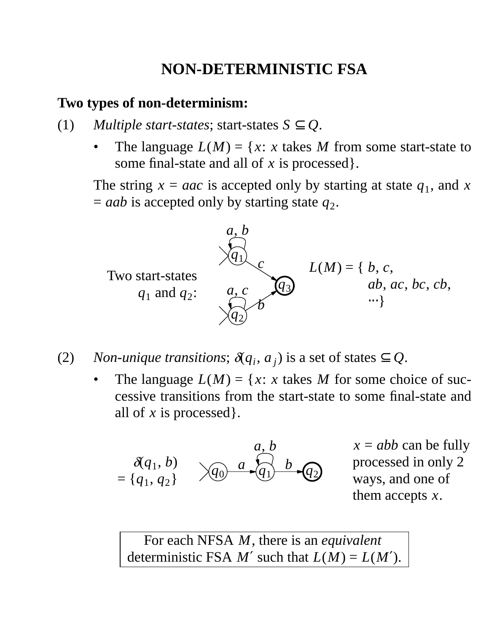# **NON-DETERMINISTIC FSA**

#### **Two types of non-determinism:**

- (1) *Multiple start-states*; start-states  $S \subseteq Q$ .
	- The language  $L(M) = \{x : x$  takes M from some start-state to some final-state and all of *x* is processed}.

The string  $x = aac$  is accepted only by starting at state  $q_1$ , and x  $=$  *aab* is accepted only by starting state  $q_2$ .



- (2) *Non-unique transitions*;  $\delta(q_i, a_j)$  is a set of states  $\subseteq Q$ .
	- The language  $L(M) = \{x : x$  takes M for some choice of successive transitions from the start-state to some final-state and all of *x* is processed}.

$$
\mathcal{A}(q_1, b) = \{q_1, q_2\} \qquad \qquad \mathcal{A}(q) = \mathcal{A}(q_1) \qquad \qquad \mathcal{A}(q_2)
$$

 $x = abb$  can be fully processed in only 2 ways, and one of them accepts *x*.

For each NFSA *M*, there is an *equivalent* deterministic FSA  $M'$  such that  $L(M) = L(M')$ .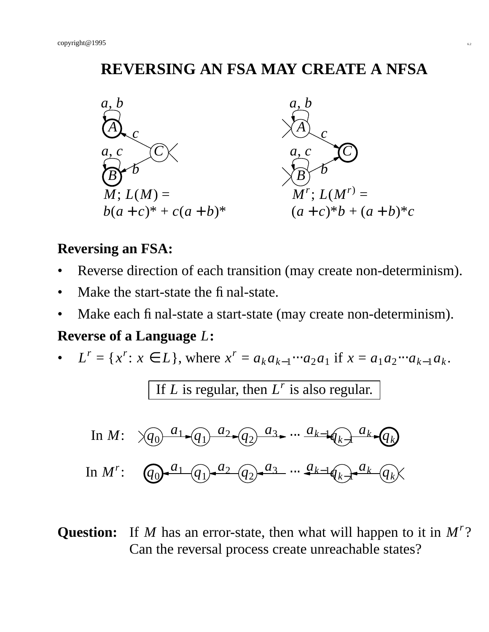## **REVERSING AN FSA MAY CREATE A NFSA**



#### **Reversing an FSA:**

- Reverse direction of each transition (may create non-determinism).
- Make the start-state the final-state.
- Make each final-state a start-state (may create non-determinism).

#### **Reverse of a Language** *L***:**

•  $L^r = \{x^r : x \in L\}$ , where  $x^r = a_k a_{k-1} \cdots a_2 a_1$  if  $x = a_1 a_2 \cdots a_{k-1} a_k$ .

If *L* is regular, then  $L^r$  is also regular.

In 
$$
M: \quad \sqrt{q_0} \xrightarrow{a_1} \sqrt{q_1} \xrightarrow{a_2} \sqrt{q_2} \xrightarrow{a_3} \cdots \xrightarrow{a_{k-1}} \sqrt{q_k} \xrightarrow{a_k} \sqrt{q_k}
$$

In 
$$
M'
$$
:  $(q_0-a_1-q_1)-a_2-q_2)-a_3...$   $q_{k-1}q_{k-1}-a_k-q_k$ 

## Question: If *M* has an error-state, then what will happen to it in  $M^r$ ? Can the reversal process create unreachable states?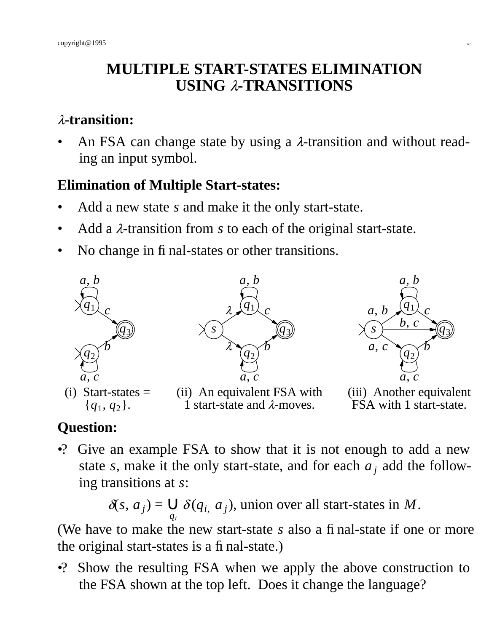# **MULTIPLE START-STATES ELIMINATION USING** <sup>λ</sup>**-TRANSITIONS**

## <sup>λ</sup>**-transition:**

An FSA can change state by using a  $\lambda$ -transition and without reading an input symbol.

## **Elimination of Multiple Start-states:**

- Add a new state *s* and make it the only start-state.
- Add a λ-transition from *s* to each of the original start-state.
- No change in final-states or other transitions.



# **Question:**

•? Give an example FSA to show that it is not enough to add a new state *s*, make it the only start-state, and for each  $a_j$  add the following transitions at *s*:

> $\delta(s, a_j) =$ *qi*  $\bigcup \delta(q_i, a_j)$ , union over all start-states in *M*.

(We have to make the new start-state *s* also a final-state if one or more the original start-states is a final-state.)

•? Show the resulting FSA when we apply the above construction to the FSA shown at the top left. Does it change the language?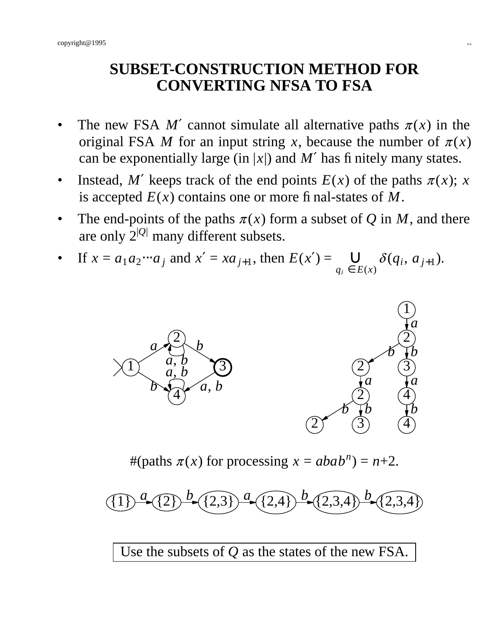## **SUBSET-CONSTRUCTION METHOD FOR CONVERTING NFSA TO FSA**

- The new FSA  $M'$  cannot simulate all alternative paths  $\pi(x)$  in the original FSA *M* for an input string *x*, because the number of  $\pi(x)$ can be exponentially large (in  $|x|$ ) and M' has finitely many states.
- Instead, *M'* keeps track of the end points  $E(x)$  of the paths  $\pi(x)$ ; *x* is accepted  $E(x)$  contains one or more final-states of M.
- The end-points of the paths  $\pi(x)$  form a subset of Q in M, and there are only  $2^{|Q|}$  many different subsets.
- If  $x = a_1 a_2 \cdots a_j$  and  $x' = xa_{j+1}$ , then  $E(x') =$  $q_i \in E(x)$  $\bigcup_{\Gamma(\cdot)} \delta(q_i, a_{j+1}).$



#(paths  $\pi(x)$  for processing  $x = abab^n$ ) =  $n+2$ .

 $(1)$ <sup>*a*</sup> $(2)$  $(2,3)$  $(2,4)$  $^{b}$   $(2,3,4)$  $^{b}$   $(2,3,4)$ 

Use the subsets of *Q* as the states of the new FSA.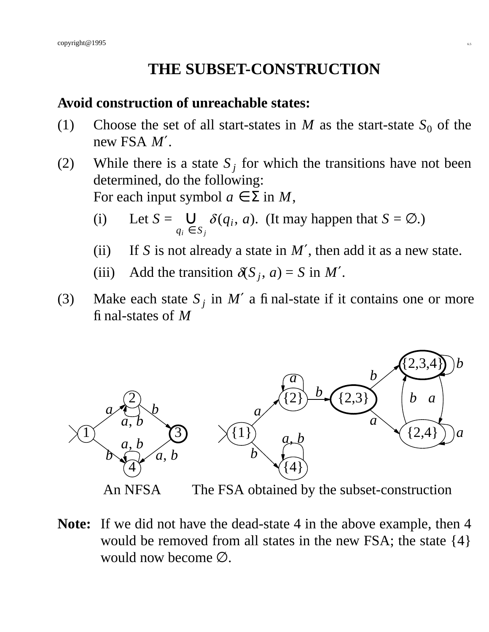## **THE SUBSET-CONSTRUCTION**

### **Av oid construction of unreachable states:**

- (1) Choose the set of all start-states in *M* as the start-state  $S_0$  of the new FSA *M*′.
- (2) While there is a state  $S_j$  for which the transitions have not been determined, do the following: For each input symbol  $a \in \Sigma$  in *M*,
	- $(i)$  Let  $S =$  $q_i \in S_j$  $\bigcup_{a} \delta(q_i, a)$ . (It may happen that  $S = \emptyset$ .)
	- (ii) If *S* is not already a state in  $M'$ , then add it as a new state.
	- (iii) Add the transition  $\delta S_j$ ,  $a$ ) = *S* in *M'*.
- (3) Make each state  $S_j$  in M' a final-state if it contains one or more final-states of *M*



**Note:** If we did not have the dead-state 4 in the above example, then 4 would be removed from all states in the new FSA; the state {4} would now become ∅.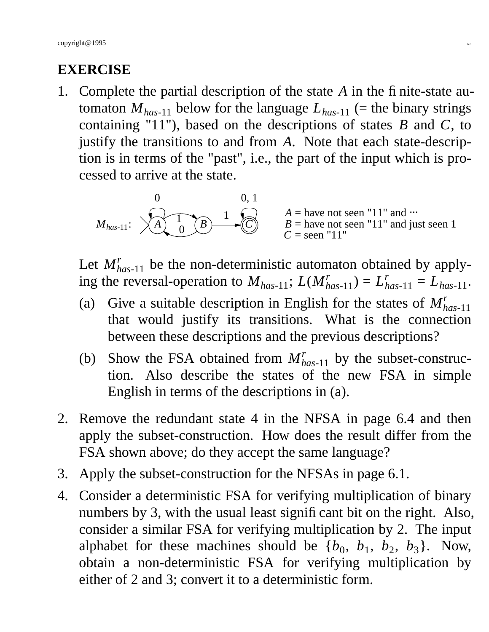## **EXERCISE**

1. Complete the partial description of the state *A* in the finite-state automaton  $M_{has-11}$  below for the language  $L_{has-11}$  (= the binary strings containing "11"), based on the descriptions of states *B* and *C*, to justify the transitions to and from *A*. Note that each state-description is in terms of the "past", i.e., the part of the input which is processed to arrive at the state.

$$
M_{has-11}: \quad \begin{matrix} 0 & 0, 1 \\ A & 0 \end{matrix} \quad \begin{matrix} 0 & 0, 1 \\ B & 1 \end{matrix}
$$
\n
$$
M_{has-11}: \quad \begin{matrix} A = \text{have not seen "11" and ...} \\ B = \text{have not seen "11" and just seen 1} \\ C = \text{seen "11"}
$$

Let  $M_{has-11}^r$  be the non-deterministic automaton obtained by applying the reversal-operation to  $M_{has-11}$ ;  $L(M_{has-11}^r) = L_{has-11}^r = L_{has-11}$ .

- (a) Give a suitable description in English for the states of  $M_h^r$ *has*-11 that would justify its transitions. What is the connection between these descriptions and the previous descriptions?
- (b) Show the FSA obtained from  $M_{has-11}^r$  by the subset-construction. Also describe the states of the new FSA in simple English in terms of the descriptions in (a).
- 2. Remove the redundant state 4 in the NFSA in page 6.4 and then apply the subset-construction. How does the result differ from the FSA shown above; do they accept the same language?
- 3. Apply the subset-construction for the NFSAs in page 6.1.
- 4. Consider a deterministic FSA for verifying multiplication of binary numbers by 3, with the usual least significant bit on the right. Also, consider a similar FSA for verifying multiplication by 2. The input alphabet for these machines should be  $\{b_0, b_1, b_2, b_3\}$ . Now, obtain a non-deterministic FSA for verifying multiplication by either of 2 and 3; convert it to a deterministic form.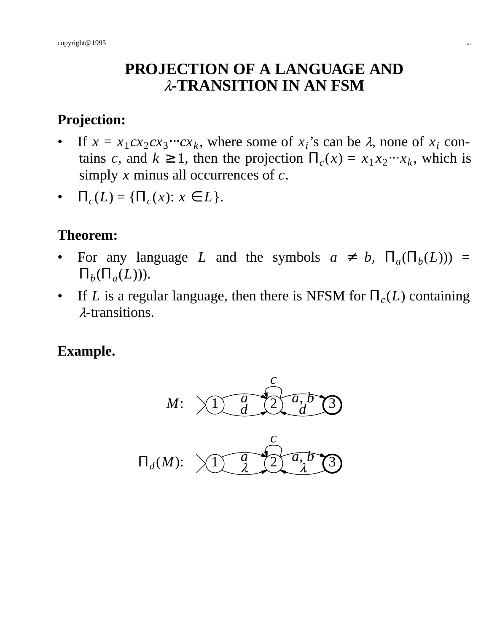### **PROJECTION OF A LANGUAGE AND** <sup>λ</sup>**-TRANSITION IN AN FSM**

### **Projection:**

- If  $x = x_1 c x_2 c x_3 \cdots c x_k$ , where some of  $x_i$ 's can be  $\lambda$ , none of  $x_i$  contains *c*, and  $k \ge 1$ , then the projection  $\Pi_c(x) = x_1 x_2 \cdots x_k$ , which is simply *x* minus all occurrences of *c*.
- $\Pi_c(L) = {\Pi_c(x): x \in L}.$

## **Theorem:**

- For any language *L* and the symbols  $a \neq b$ ,  $\Pi_a(\Pi_b(L))$  =  $\Pi_b(\Pi_a(L)))$ .
- If *L* is a regular language, then there is NFSM for  $\Pi_c(L)$  containing <sup>λ</sup>-transitions.

#### **Example.**

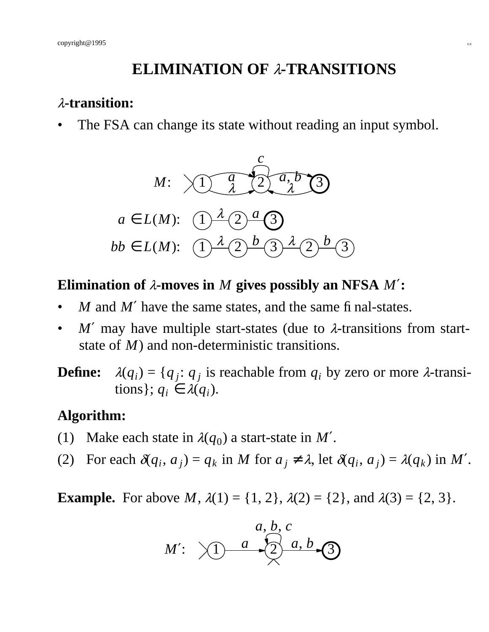## **ELIMINATION OF** <sup>λ</sup>**-TRANSITIONS**

#### <sup>λ</sup>**-transition:**

The FSA can change its state without reading an input symbol.



#### **Elimination of** <sup>λ</sup>**-moves in** *M* **gives possibly an NFSA** *M*′**:**

- *M* and *M'* have the same states, and the same final-states.
- $M'$  may have multiple start-states (due to  $\lambda$ -transitions from startstate of *M*) and non-deterministic transitions.
- $\bf$  **Define:** ) = { $q_j$ :  $q_j$  is reachable from  $q_i$  by zero or more  $\lambda$ -transitions };  $q_i \in \lambda(q_i)$ .

### **Algorithm:**

- (1) Make each state in  $\lambda(q_0)$  a start-state in M'.
- (2) For each  $\delta(q_i, a_j) = q_k$  in *M* for  $a_j \neq \lambda$ , let  $\delta(q_i, a_j) = \lambda(q_k)$  in *M'*.

**Example.** For above *M*,  $\lambda(1) = \{1, 2\}$ ,  $\lambda(2) = \{2\}$ , and  $\lambda(3) = \{2, 3\}$ .

*M*′ : 1 2 *a*, *b*, *c a* 3 *a*, *b*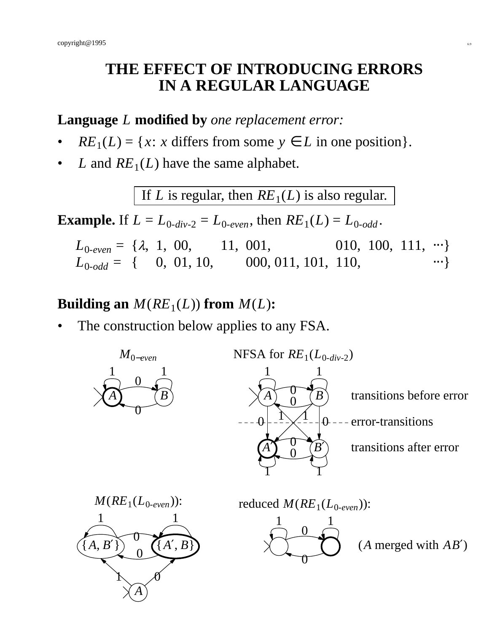## **THE EFFECT OF INTRODUCING ERRORS IN A REGULAR LANGUAGE**

#### **Language** *L* **modified by** *one replacement error:*

- $RE_1(L) = \{x: x \text{ differs from some } y \in L \text{ in one position}\}.$
- *L* and  $RE<sub>1</sub>(L)$  have the same alphabet.

If *L* is regular, then  $RE<sub>1</sub>(L)$  is also regular.

**Example.** If  $L = L_{0-div-2} = L_{0-even}$ , then  $RE_1(L) = L_{0-odd}$ .

 $L_{0-even} = \{\lambda, 1, 00, 11, 001, 010, 100, 111, \cdots\}$  $L_{0-odd} = \{ 0, 01, 10, 000, 011, 101, 110, \dots \}$ 

# **Building an**  $M(RE_1(L))$  from  $M(L)$ :

The construction below applies to any FSA.